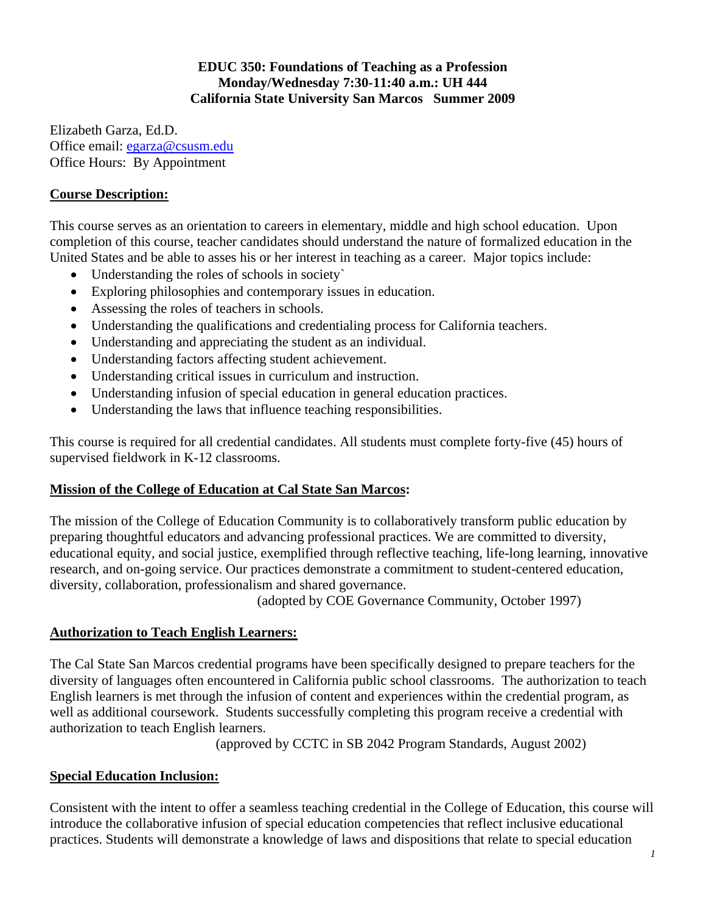## **EDUC 350: Foundations of Teaching as a Profession Monday/Wednesday 7:30-11:40 a.m.: UH 444 California State University San Marcos Summer 2009**

Elizabeth Garza, Ed.D. Office email: egarza@csusm.edu Office Hours: By Appointment

# **Course Description:**

This course serves as an orientation to careers in elementary, middle and high school education. Upon completion of this course, teacher candidates should understand the nature of formalized education in the United States and be able to asses his or her interest in teaching as a career. Major topics include:

- Understanding the roles of schools in society`
- Exploring philosophies and contemporary issues in education.
- Assessing the roles of teachers in schools.
- Understanding the qualifications and credentialing process for California teachers.
- Understanding and appreciating the student as an individual.
- Understanding factors affecting student achievement.
- Understanding critical issues in curriculum and instruction.
- Understanding infusion of special education in general education practices.
- Understanding the laws that influence teaching responsibilities.

This course is required for all credential candidates. All students must complete forty-five (45) hours of supervised fieldwork in K-12 classrooms.

## **Mission of the College of Education at Cal State San Marcos:**

The mission of the College of Education Community is to collaboratively transform public education by preparing thoughtful educators and advancing professional practices. We are committed to diversity, educational equity, and social justice, exemplified through reflective teaching, life-long learning, innovative research, and on-going service. Our practices demonstrate a commitment to student-centered education, diversity, collaboration, professionalism and shared governance.

(adopted by COE Governance Community, October 1997)

## **Authorization to Teach English Learners:**

The Cal State San Marcos credential programs have been specifically designed to prepare teachers for the diversity of languages often encountered in California public school classrooms. The authorization to teach English learners is met through the infusion of content and experiences within the credential program, as well as additional coursework. Students successfully completing this program receive a credential with authorization to teach English learners.

(approved by CCTC in SB 2042 Program Standards, August 2002)

## **Special Education Inclusion:**

Consistent with the intent to offer a seamless teaching credential in the College of Education, this course will introduce the collaborative infusion of special education competencies that reflect inclusive educational practices. Students will demonstrate a knowledge of laws and dispositions that relate to special education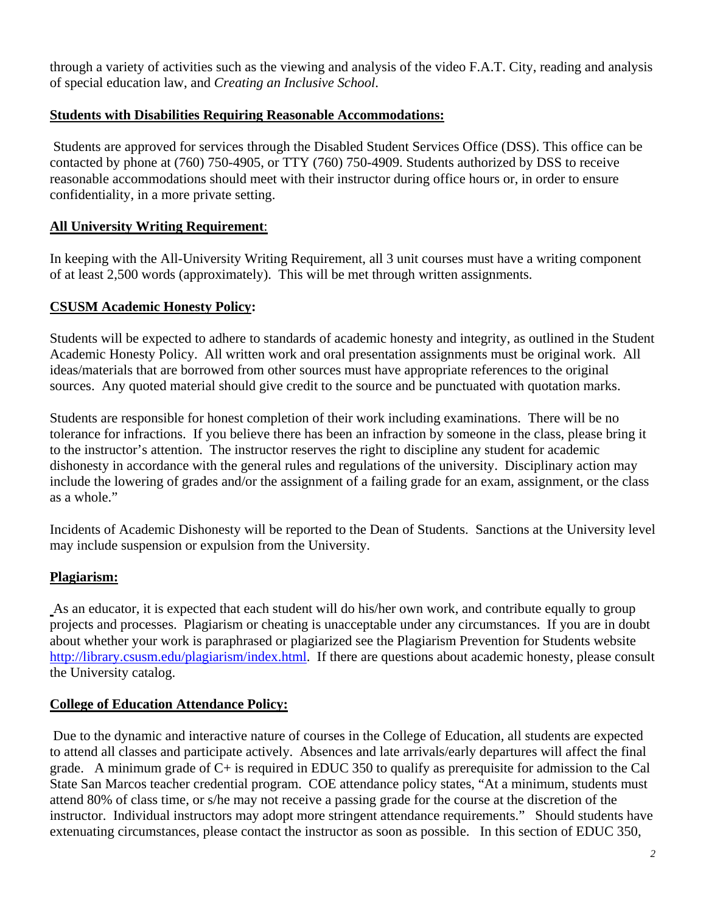through a variety of activities such as the viewing and analysis of the video F.A.T. City, reading and analysis of special education law, and *Creating an Inclusive School*.

## **Students with Disabilities Requiring Reasonable Accommodations:**

Students are approved for services through the Disabled Student Services Office (DSS). This office can be contacted by phone at (760) 750-4905, or TTY (760) 750-4909. Students authorized by DSS to receive reasonable accommodations should meet with their instructor during office hours or, in order to ensure confidentiality, in a more private setting.

# **All University Writing Requirement:**

**All University Writing Requirement**: In keeping with the All-University Writing Requirement, all 3 unit courses must have a writing component of at least 2,500 words (approximately). This will be met through written assignments.

## **CSUSM Academic Honesty Policy:**

Students will be expected to adhere to standards of academic honesty and integrity, as outlined in the Student Academic Honesty Policy. All written work and oral presentation assignments must be original work. All ideas/materials that are borrowed from other sources must have appropriate references to the original sources. Any quoted material should give credit to the source and be punctuated with quotation marks.

Students are responsible for honest completion of their work including examinations. There will be no tolerance for infractions. If you believe there has been an infraction by someone in the class, please bring it to the instructor's attention. The instructor reserves the right to discipline any student for academic dishonesty in accordance with the general rules and regulations of the university. Disciplinary action may include the lowering of grades and/or the assignment of a failing grade for an exam, assignment, or the class as a whole."

Incidents of Academic Dishonesty will be reported to the Dean of Students. Sanctions at the University level may include suspension or expulsion from the University.

# **Plagiarism:**

As an educator, it is expected that each student will do his/her own work, and contribute equally to group projects and processes. Plagiarism or cheating is unacceptable under any circumstances. If you are in doubt about whether your work is paraphrased or plagiarized see the Plagiarism Prevention for Students website http://library.csusm.edu/plagiarism/index.html. If there are questions about academic honesty, please consult the University catalog.

## **College of Education Attendance Policy:**

 Due to the dynamic and interactive nature of courses in the College of Education, all students are expected to attend all classes and participate actively. Absences and late arrivals/early departures will affect the final grade. A minimum grade of C+ is required in EDUC 350 to qualify as prerequisite for admission to the Cal State San Marcos teacher credential program. COE attendance policy states, "At a minimum, students must attend 80% of class time, or s/he may not receive a passing grade for the course at the discretion of the instructor. Individual instructors may adopt more stringent attendance requirements." Should students have extenuating circumstances, please contact the instructor as soon as possible. In this section of EDUC 350,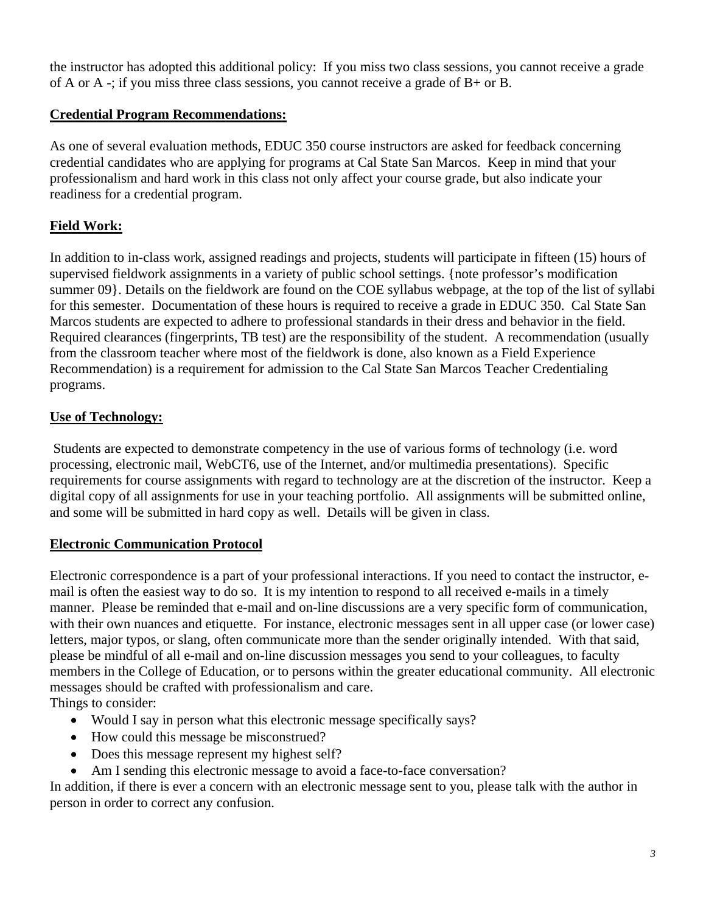the instructor has adopted this additional policy: If you miss two class sessions, you cannot receive a grade of A or A -; if you miss three class sessions, you cannot receive a grade of B+ or B.

# **Credential Program Recommendations:**

As one of several evaluation methods, EDUC 350 course instructors are asked for feedback concerning credential candidates who are applying for programs at Cal State San Marcos. Keep in mind that your professionalism and hard work in this class not only affect your course grade, but also indicate your readiness for a credential program.

# **Field Work:**

In addition to in-class work, assigned readings and projects, students will participate in fifteen (15) hours of supervised fieldwork assignments in a variety of public school settings. {note professor's modification summer 09}. Details on the fieldwork are found on the COE syllabus webpage, at the top of the list of syllabi for this semester. Documentation of these hours is required to receive a grade in EDUC 350. Cal State San Marcos students are expected to adhere to professional standards in their dress and behavior in the field. Required clearances (fingerprints, TB test) are the responsibility of the student. A recommendation (usually from the classroom teacher where most of the fieldwork is done, also known as a Field Experience Recommendation) is a requirement for admission to the Cal State San Marcos Teacher Credentialing programs.

## **Use of Technology:**

 Students are expected to demonstrate competency in the use of various forms of technology (i.e. word processing, electronic mail, WebCT6, use of the Internet, and/or multimedia presentations). Specific requirements for course assignments with regard to technology are at the discretion of the instructor. Keep a digital copy of all assignments for use in your teaching portfolio. All assignments will be submitted online, and some will be submitted in hard copy as well. Details will be given in class.

## **Electronic Communication Protocol**

Electronic correspondence is a part of your professional interactions. If you need to contact the instructor, email is often the easiest way to do so. It is my intention to respond to all received e-mails in a timely manner. Please be reminded that e-mail and on-line discussions are a very specific form of communication, with their own nuances and etiquette. For instance, electronic messages sent in all upper case (or lower case) letters, major typos, or slang, often communicate more than the sender originally intended. With that said, please be mindful of all e-mail and on-line discussion messages you send to your colleagues, to faculty members in the College of Education, or to persons within the greater educational community. All electronic messages should be crafted with professionalism and care.

Things to consider:

- Would I say in person what this electronic message specifically says?
- How could this message be misconstrued?
- Does this message represent my highest self?
- Am I sending this electronic message to avoid a face-to-face conversation?

In addition, if there is ever a concern with an electronic message sent to you, please talk with the author in person in order to correct any confusion.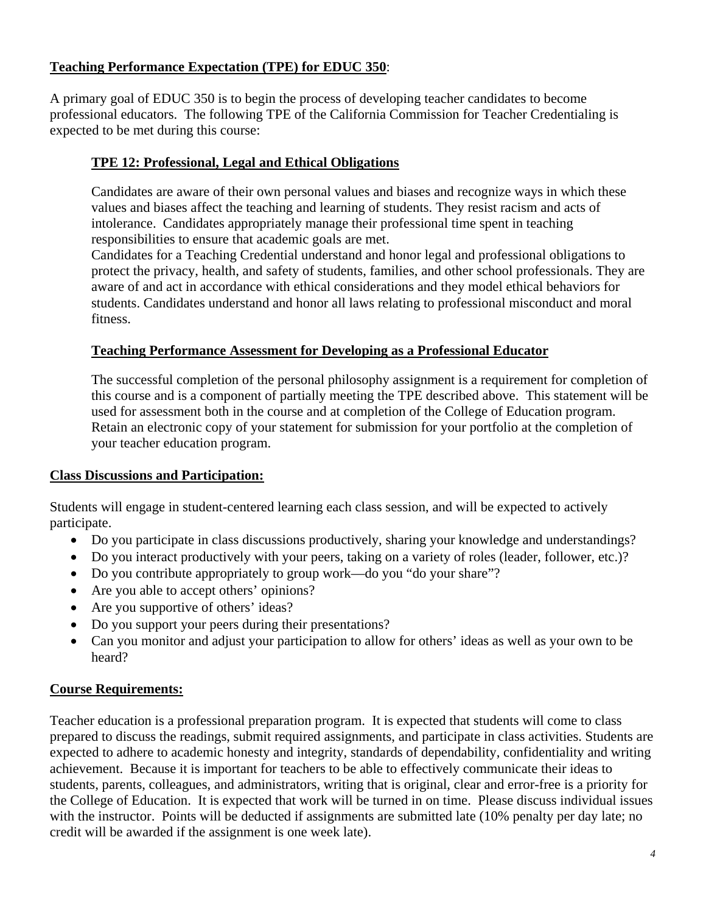# **Teaching Performance Expectation (TPE) for EDUC 350**:

A primary goal of EDUC 350 is to begin the process of developing teacher candidates to become professional educators. The following TPE of the California Commission for Teacher Credentialing is expected to be met during this course:

# **TPE 12: Professional, Legal and Ethical Obligations**

Candidates are aware of their own personal values and biases and recognize ways in which these values and biases affect the teaching and learning of students. They resist racism and acts of intolerance. Candidates appropriately manage their professional time spent in teaching responsibilities to ensure that academic goals are met.

Candidates for a Teaching Credential understand and honor legal and professional obligations to protect the privacy, health, and safety of students, families, and other school professionals. They are aware of and act in accordance with ethical considerations and they model ethical behaviors for students. Candidates understand and honor all laws relating to professional misconduct and moral fitness.

## **Teaching Performance Assessment for Developing as a Professional Educator**

The successful completion of the personal philosophy assignment is a requirement for completion of this course and is a component of partially meeting the TPE described above. This statement will be used for assessment both in the course and at completion of the College of Education program. Retain an electronic copy of your statement for submission for your portfolio at the completion of your teacher education program.

## **Class Discussions and Participation:**

Students will engage in student-centered learning each class session, and will be expected to actively participate.

- Do you participate in class discussions productively, sharing your knowledge and understandings?
- Do you interact productively with your peers, taking on a variety of roles (leader, follower, etc.)?
- Do you contribute appropriately to group work—do you "do your share"?
- Are you able to accept others' opinions?
- Are you supportive of others' ideas?
- Do you support your peers during their presentations?
- Can you monitor and adjust your participation to allow for others' ideas as well as your own to be heard?

## **Course Requirements:**

Teacher education is a professional preparation program. It is expected that students will come to class prepared to discuss the readings, submit required assignments, and participate in class activities. Students are expected to adhere to academic honesty and integrity, standards of dependability, confidentiality and writing achievement. Because it is important for teachers to be able to effectively communicate their ideas to students, parents, colleagues, and administrators, writing that is original, clear and error-free is a priority for the College of Education. It is expected that work will be turned in on time. Please discuss individual issues with the instructor. Points will be deducted if assignments are submitted late (10% penalty per day late; no credit will be awarded if the assignment is one week late).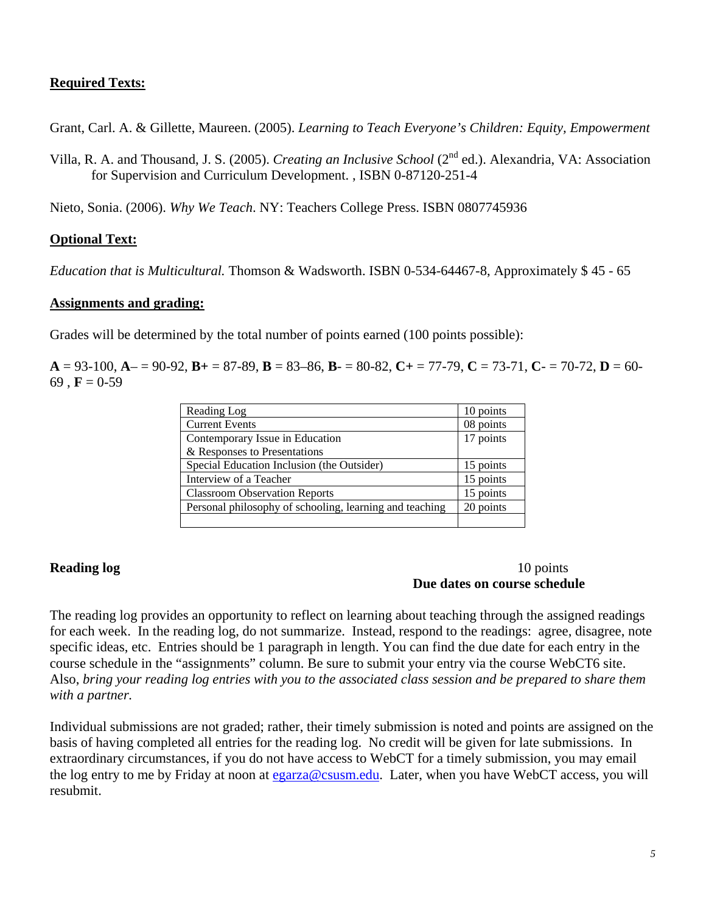## **Required Texts:**

Grant, Carl. A. & Gillette, Maureen. (2005). *Learning to Teach Everyone's Children: Equity, Empowerment* 

Villa, R. A. and Thousand, J. S. (2005). *Creating an Inclusive School* (2nd ed.). Alexandria, VA: Association for Supervision and Curriculum Development. , ISBN 0-87120-251-4

Nieto, Sonia. (2006). *Why We Teach*. NY: Teachers College Press. ISBN 0807745936

## **Optional Text:**

*Education that is Multicultural.* Thomson & Wadsworth. ISBN 0-534-64467-8, Approximately \$ 45 - 65

### **Assignments and grading:**

Grades will be determined by the total number of points earned (100 points possible):

 $A = 93-100$ ,  $A = 90-92$ ,  $B = 87-89$ ,  $B = 83-86$ ,  $B = 80-82$ ,  $C = 77-79$ ,  $C = 73-71$ ,  $C = 70-72$ ,  $D = 60-72$ 69 ,  $F = 0.59$ 

| Reading Log                                             | 10 points |
|---------------------------------------------------------|-----------|
| <b>Current Events</b>                                   | 08 points |
| Contemporary Issue in Education                         | 17 points |
| & Responses to Presentations                            |           |
| Special Education Inclusion (the Outsider)              | 15 points |
| Interview of a Teacher                                  | 15 points |
| <b>Classroom Observation Reports</b>                    | 15 points |
| Personal philosophy of schooling, learning and teaching | 20 points |
|                                                         |           |

#### **Reading log** 10 points **Reading log Due dates on course schedule**

The reading log provides an opportunity to reflect on learning about teaching through the assigned readings for each week. In the reading log, do not summarize. Instead, respond to the readings: agree, disagree, note specific ideas, etc. Entries should be 1 paragraph in length. You can find the due date for each entry in the course schedule in the "assignments" column. Be sure to submit your entry via the course WebCT6 site. Also, *bring your reading log entries with you to the associated class session and be prepared to share them with a partner.* 

Individual submissions are not graded; rather, their timely submission is noted and points are assigned on the basis of having completed all entries for the reading log. No credit will be given for late submissions. In extraordinary circumstances, if you do not have access to WebCT for a timely submission, you may email the log entry to me by Friday at noon at egarza@csusm.edu. Later, when you have WebCT access, you will resubmit.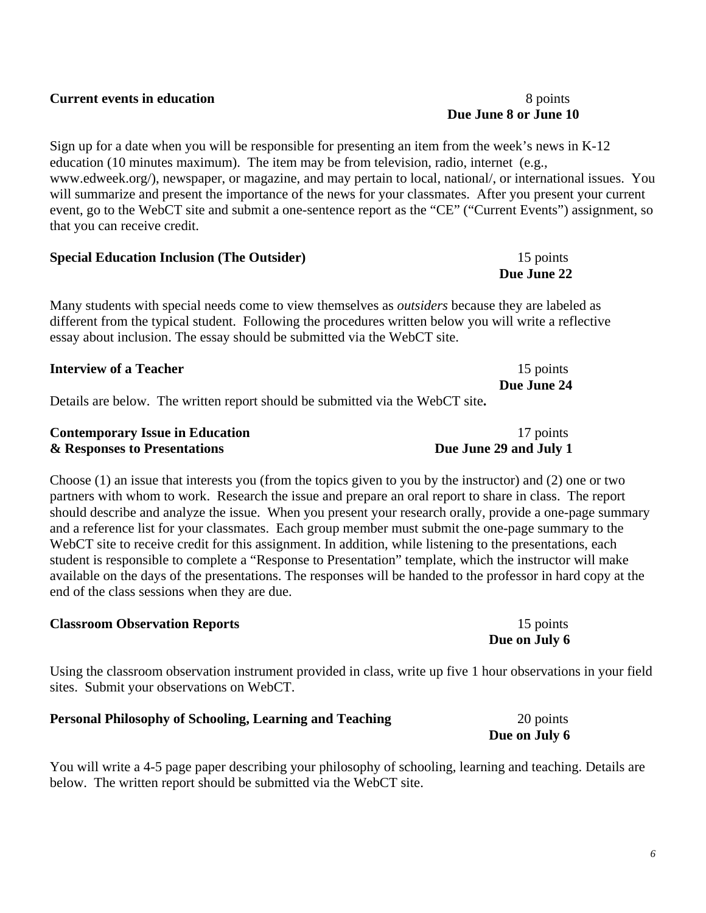## **Current events in education** 8 points 8 points

Sign up for a date when you will be responsible for presenting an item from the week's news in K-12 education (10 minutes maximum). The item may be from television, radio, internet (e.g., www.edweek.org/), newspaper, or magazine, and may pertain to local, national/, or international issues. You will summarize and present the importance of the news for your classmates. After you present your current event, go to the WebCT site and submit a one-sentence report as the "CE" ("Current Events") assignment, so that you can receive credit.

| <b>Special Education Inclusion (The Outsider)</b> | 15 points   |
|---------------------------------------------------|-------------|
|                                                   | Due June 22 |

Many students with special needs come to view themselves as *outsiders* because they are labeled as different from the typical student. Following the procedures written below you will write a reflective essay about inclusion. The essay should be submitted via the WebCT site.

| <b>Interview of a Teacher</b>                                              | 15 points   |
|----------------------------------------------------------------------------|-------------|
|                                                                            | Due June 24 |
| Details are hele The written report should be submitted via the WebCT site |             |

| <b>Contemporary Issue in Education</b> | 17 points              |
|----------------------------------------|------------------------|
| & Responses to Presentations           | Due June 29 and July 1 |

Choose (1) an issue that interests you (from the topics given to you by the instructor) and (2) one or two partners with whom to work. Research the issue and prepare an oral report to share in class. The report should describe and analyze the issue. When you present your research orally, provide a one-page summary and a reference list for your classmates. Each group member must submit the one-page summary to the WebCT site to receive credit for this assignment. In addition, while listening to the presentations, each student is responsible to complete a "Response to Presentation" template, which the instructor will make available on the days of the presentations. The responses will be handed to the professor in hard copy at the end of the class sessions when they are due.

## **Classroom Observation Reports** 15 points 15 points

Using the classroom observation instrument provided in class, write up five 1 hour observations in your field sites. Submit your observations on WebCT.

# **Personal Philosophy of Schooling, Learning and Teaching** 20 points

You will write a 4-5 page paper describing your philosophy of schooling, learning and teaching. Details are below. The written report should be submitted via the WebCT site.

**Due on July 6** 

**Due June 8 or June 10** 

**Due on July 6**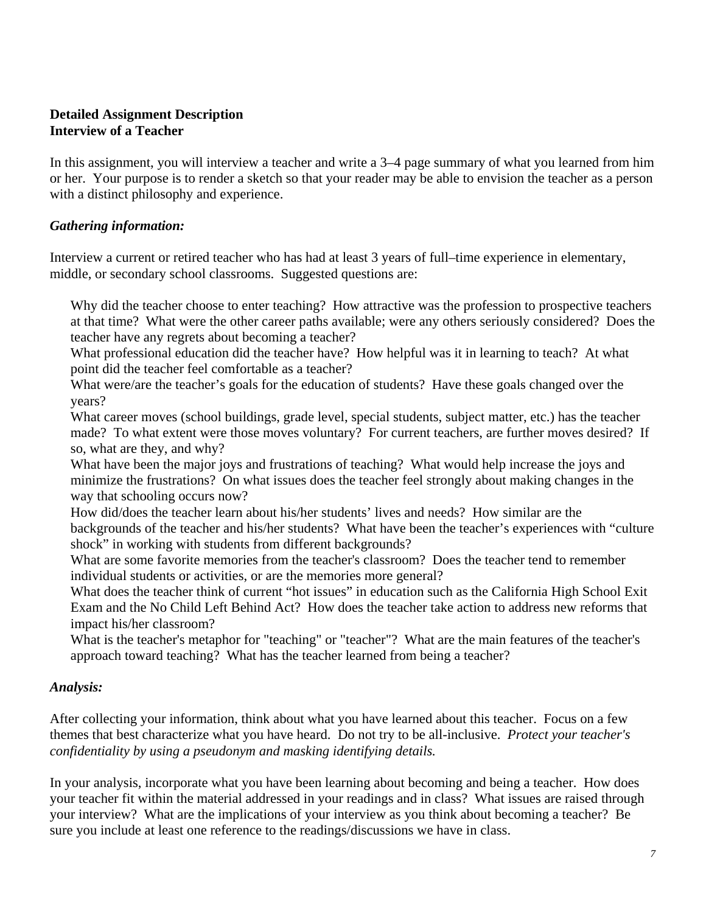## **Detailed Assignment Description Interview of a Teacher**

In this assignment, you will interview a teacher and write a 3–4 page summary of what you learned from him or her. Your purpose is to render a sketch so that your reader may be able to envision the teacher as a person with a distinct philosophy and experience.

## *Gathering information:*

Interview a current or retired teacher who has had at least 3 years of full–time experience in elementary, middle, or secondary school classrooms. Suggested questions are:

teacher have any regrets about becoming a teacher? Why did the teacher choose to enter teaching? How attractive was the profession to prospective teachers at that time? What were the other career paths available; were any others seriously considered? Does the

What professional education did the teacher have? How helpful was it in learning to teach? At what point did the teacher feel comfortable as a teacher?

What were/are the teacher's goals for the education of students? Have these goals changed over the years?

What career moves (school buildings, grade level, special students, subject matter, etc.) has the teacher made? To what extent were those moves voluntary? For current teachers, are further moves desired? If so, what are they, and why?

What have been the major joys and frustrations of teaching? What would help increase the joys and minimize the frustrations? On what issues does the teacher feel strongly about making changes in the way that schooling occurs now?

How did/does the teacher learn about his/her students' lives and needs? How similar are the backgrounds of the teacher and his/her students? What have been the teacher's experiences with "culture shock" in working with students from different backgrounds?

What are some favorite memories from the teacher's classroom? Does the teacher tend to remember individual students or activities, or are the memories more general?

What does the teacher think of current "hot issues" in education such as the California High School Exit Exam and the No Child Left Behind Act? How does the teacher take action to address new reforms that impact his/her classroom?

What is the teacher's metaphor for "teaching" or "teacher"? What are the main features of the teacher's approach toward teaching? What has the teacher learned from being a teacher?

## *Analysis:*

After collecting your information, think about what you have learned about this teacher. Focus on a few themes that best characterize what you have heard. Do not try to be all-inclusive. *Protect your teacher's confidentiality by using a pseudonym and masking identifying details.* 

In your analysis, incorporate what you have been learning about becoming and being a teacher. How does your teacher fit within the material addressed in your readings and in class? What issues are raised through your interview? What are the implications of your interview as you think about becoming a teacher? Be sure you include at least one reference to the readings/discussions we have in class.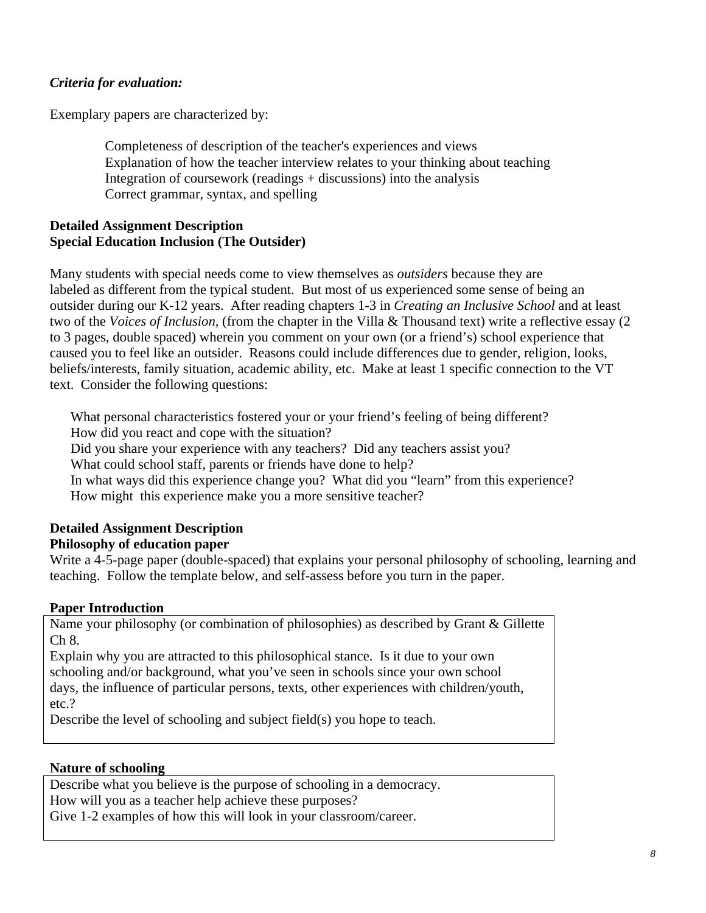## *Criteria for evaluation:*

Exemplary papers are characterized by:

Completeness of description of the teacher's experiences and views Explanation of how the teacher interview relates to your thinking about teaching Integration of coursework (readings + discussions) into the analysis Correct grammar, syntax, and spelling

## **Detailed Assignment Description Special Education Inclusion (The Outsider)**

Many students with special needs come to view themselves as *outsiders* because they are labeled as different from the typical student. But most of us experienced some sense of being an outsider during our K-12 years. After reading chapters 1-3 in *Creating an Inclusive School* and at least two of the *Voices of Inclusion*, (from the chapter in the Villa & Thousand text) write a reflective essay (2 to 3 pages, double spaced) wherein you comment on your own (or a friend's) school experience that caused you to feel like an outsider. Reasons could include differences due to gender, religion, looks, beliefs/interests, family situation, academic ability, etc. Make at least 1 specific connection to the VT text. Consider the following questions:

 What personal characteristics fostered your or your friend's feeling of being different? How did you react and cope with the situation? Did you share your experience with any teachers? Did any teachers assist you? What could school staff, parents or friends have done to help? In what ways did this experience change you? What did you "learn" from this experience? How might this experience make you a more sensitive teacher?

# **Detailed Assignment Description**

## **Philosophy of education paper**

Write a 4-5-page paper (double-spaced) that explains your personal philosophy of schooling, learning and teaching. Follow the template below, and self-assess before you turn in the paper.

## **Paper Introduction**

Name your philosophy (or combination of philosophies) as described by Grant & Gillette Ch 8.

Explain why you are attracted to this philosophical stance. Is it due to your own schooling and/or background, what you've seen in schools since your own school days, the influence of particular persons, texts, other experiences with children/youth, etc.?

Describe the level of schooling and subject field(s) you hope to teach.

## **Nature of schooling**

Describe what you believe is the purpose of schooling in a democracy. How will you as a teacher help achieve these purposes? Give 1-2 examples of how this will look in your classroom/career.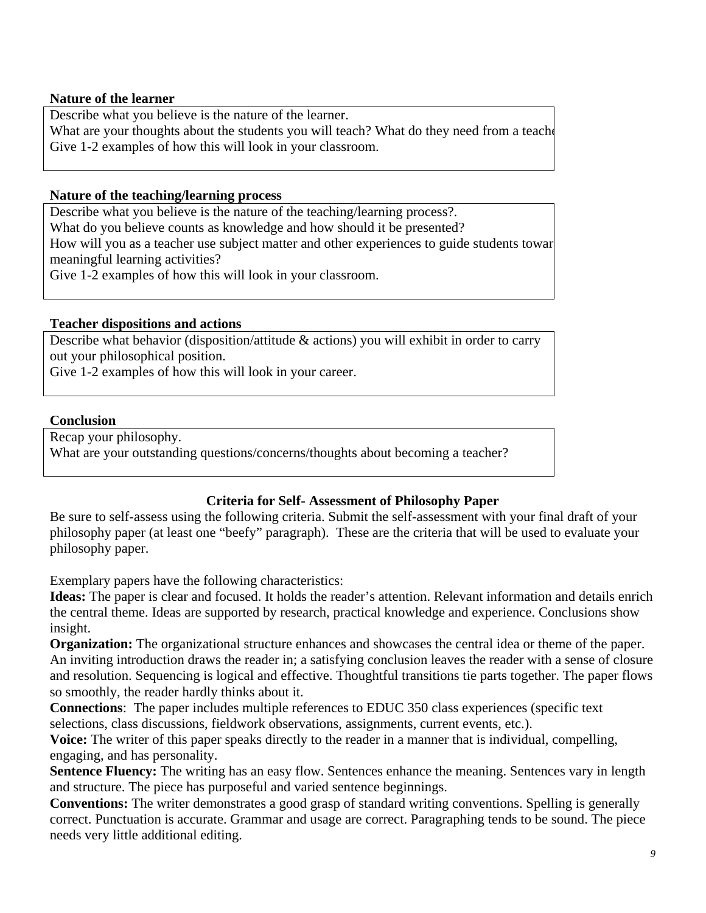## **Nature of the learner**

Describe what you believe is the nature of the learner.

What are your thoughts about the students you will teach? What do they need from a teacher Give 1-2 examples of how this will look in your classroom.

## **Nature of the teaching/learning process**

Describe what you believe is the nature of the teaching/learning process?.

What do you believe counts as knowledge and how should it be presented?

 meaningful learning activities? How will you as a teacher use subject matter and other experiences to guide students towar

Give 1-2 examples of how this will look in your classroom.

## **Teacher dispositions and actions**

Describe what behavior (disposition/attitude & actions) you will exhibit in order to carry out your philosophical position.

Give 1-2 examples of how this will look in your career.

### **Conclusion**

Recap your philosophy.

What are your outstanding questions/concerns/thoughts about becoming a teacher?

## **Criteria for Self- Assessment of Philosophy Paper**

Be sure to self-assess using the following criteria. Submit the self-assessment with your final draft of your philosophy paper (at least one "beefy" paragraph). These are the criteria that will be used to evaluate your philosophy paper.

Exemplary papers have the following characteristics:

**Ideas:** The paper is clear and focused. It holds the reader's attention. Relevant information and details enrich the central theme. Ideas are supported by research, practical knowledge and experience. Conclusions show insight.

**Organization:** The organizational structure enhances and showcases the central idea or theme of the paper. An inviting introduction draws the reader in; a satisfying conclusion leaves the reader with a sense of closure and resolution. Sequencing is logical and effective. Thoughtful transitions tie parts together. The paper flows so smoothly, the reader hardly thinks about it.

**Connections**: The paper includes multiple references to EDUC 350 class experiences (specific text selections, class discussions, fieldwork observations, assignments, current events, etc.).

**Voice:** The writer of this paper speaks directly to the reader in a manner that is individual, compelling, engaging, and has personality.

**Sentence Fluency:** The writing has an easy flow. Sentences enhance the meaning. Sentences vary in length and structure. The piece has purposeful and varied sentence beginnings.

**Conventions:** The writer demonstrates a good grasp of standard writing conventions. Spelling is generally correct. Punctuation is accurate. Grammar and usage are correct. Paragraphing tends to be sound. The piece needs very little additional editing.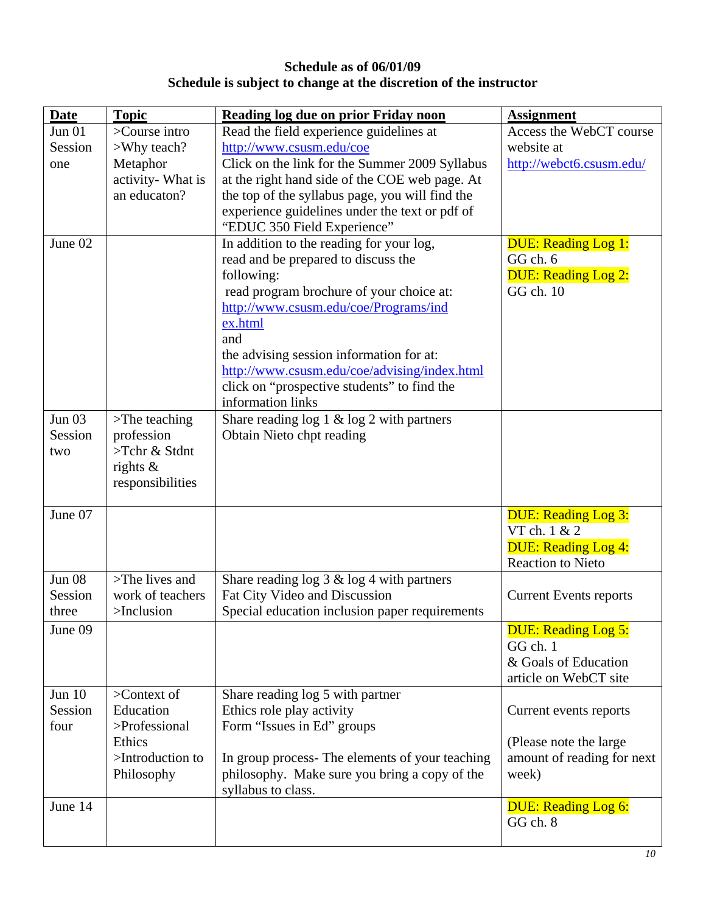# **Schedule as of 06/01/09 Schedule is subject to change at the discretion of the instructor**

| <b>Date</b>   | <b>Topic</b>              | Reading log due on prior Friday noon                                                     | <b>Assignment</b>                |
|---------------|---------------------------|------------------------------------------------------------------------------------------|----------------------------------|
| Jun 01        | >Course intro             | Read the field experience guidelines at                                                  | Access the WebCT course          |
| Session       | >Why teach?               | http://www.csusm.edu/coe                                                                 | website at                       |
| one           | Metaphor                  | Click on the link for the Summer 2009 Syllabus                                           | http://webct6.csusm.edu/         |
|               | activity- What is         | at the right hand side of the COE web page. At                                           |                                  |
|               | an educaton?              | the top of the syllabus page, you will find the                                          |                                  |
|               |                           | experience guidelines under the text or pdf of                                           |                                  |
|               |                           | "EDUC 350 Field Experience"                                                              |                                  |
| June 02       |                           | In addition to the reading for your log,                                                 | <b>DUE: Reading Log 1:</b>       |
|               |                           | read and be prepared to discuss the                                                      | GG ch. 6                         |
|               |                           | following:                                                                               | <b>DUE: Reading Log 2:</b>       |
|               |                           | read program brochure of your choice at:                                                 | GG ch. 10                        |
|               |                           | http://www.csusm.edu/coe/Programs/ind                                                    |                                  |
|               |                           | ex.html                                                                                  |                                  |
|               |                           | and                                                                                      |                                  |
|               |                           | the advising session information for at:<br>http://www.csusm.edu/coe/advising/index.html |                                  |
|               |                           | click on "prospective students" to find the                                              |                                  |
|               |                           | information links                                                                        |                                  |
| <b>Jun 03</b> | $\mathsf{F}$ The teaching | Share reading $\log 1 \& \log 2$ with partners                                           |                                  |
| Session       | profession                | Obtain Nieto chpt reading                                                                |                                  |
| two           | >Tchr & Stdnt             |                                                                                          |                                  |
|               | rights $\&$               |                                                                                          |                                  |
|               | responsibilities          |                                                                                          |                                  |
|               |                           |                                                                                          |                                  |
| June 07       |                           |                                                                                          | <b>DUE: Reading Log 3:</b>       |
|               |                           |                                                                                          | VT ch. 1 & 2                     |
|               |                           |                                                                                          | <b>DUE: Reading Log 4:</b>       |
|               |                           |                                                                                          | <b>Reaction to Nieto</b>         |
| <b>Jun 08</b> | >The lives and            | Share reading $\log 3 \& \log 4$ with partners                                           |                                  |
| Session       | work of teachers          | Fat City Video and Discussion                                                            | <b>Current Events reports</b>    |
| three         | $>$ Inclusion             | Special education inclusion paper requirements                                           |                                  |
| June 09       |                           |                                                                                          | <b>DUE: Reading Log 5:</b>       |
|               |                           |                                                                                          | GG ch. 1<br>& Goals of Education |
|               |                           |                                                                                          | article on WebCT site            |
| <b>Jun 10</b> | $\geq$ Context of         | Share reading log 5 with partner                                                         |                                  |
| Session       | Education                 | Ethics role play activity                                                                | Current events reports           |
| four          | >Professional             | Form "Issues in Ed" groups                                                               |                                  |
|               | Ethics                    |                                                                                          | (Please note the large           |
|               | >Introduction to          | In group process- The elements of your teaching                                          | amount of reading for next       |
|               | Philosophy                | philosophy. Make sure you bring a copy of the                                            | week)                            |
|               |                           | syllabus to class.                                                                       |                                  |
| June 14       |                           |                                                                                          | <b>DUE: Reading Log 6:</b>       |
|               |                           |                                                                                          | GG ch. 8                         |
|               |                           |                                                                                          |                                  |